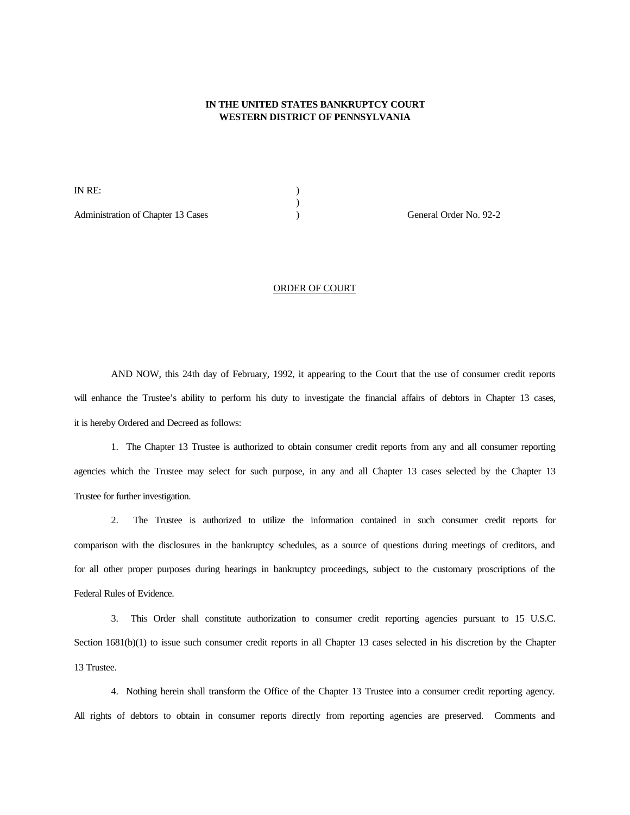## **IN THE UNITED STATES BANKRUPTCY COURT WESTERN DISTRICT OF PENNSYLVANIA**

IN RE: ) Administration of Chapter 13 Cases (and Chapter 13 Cases (b) (b) General Order No. 92-2

## ORDER OF COURT

 $\overline{)}$ 

AND NOW, this 24th day of February, 1992, it appearing to the Court that the use of consumer credit reports will enhance the Trustee's ability to perform his duty to investigate the financial affairs of debtors in Chapter 13 cases, it is hereby Ordered and Decreed as follows:

1. The Chapter 13 Trustee is authorized to obtain consumer credit reports from any and all consumer reporting agencies which the Trustee may select for such purpose, in any and all Chapter 13 cases selected by the Chapter 13 Trustee for further investigation.

2. The Trustee is authorized to utilize the information contained in such consumer credit reports for comparison with the disclosures in the bankruptcy schedules, as a source of questions during meetings of creditors, and for all other proper purposes during hearings in bankruptcy proceedings, subject to the customary proscriptions of the Federal Rules of Evidence.

3. This Order shall constitute authorization to consumer credit reporting agencies pursuant to 15 U.S.C. Section 1681(b)(1) to issue such consumer credit reports in all Chapter 13 cases selected in his discretion by the Chapter 13 Trustee.

4. Nothing herein shall transform the Office of the Chapter 13 Trustee into a consumer credit reporting agency. All rights of debtors to obtain in consumer reports directly from reporting agencies are preserved. Comments and